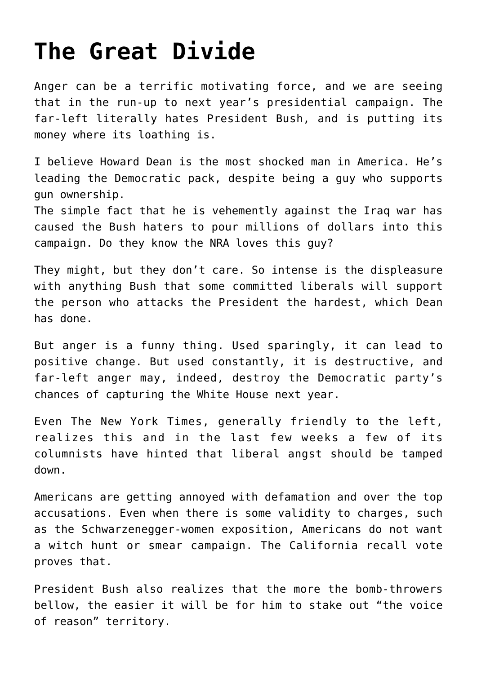## **[The Great Divide](https://bernardgoldberg.com/the-great-divide-2/)**

Anger can be a terrific motivating force, and we are seeing that in the run-up to next year's presidential campaign. The far-left literally hates President Bush, and is putting its money where its loathing is.

I believe Howard Dean is the most shocked man in America. He's leading the Democratic pack, despite being a guy who supports gun ownership.

The simple fact that he is vehemently against the Iraq war has caused the Bush haters to pour millions of dollars into this campaign. Do they know the NRA loves this guy?

They might, but they don't care. So intense is the displeasure with anything Bush that some committed liberals will support the person who attacks the President the hardest, which Dean has done.

But anger is a funny thing. Used sparingly, it can lead to positive change. But used constantly, it is destructive, and far-left anger may, indeed, destroy the Democratic party's chances of capturing the White House next year.

Even The New York Times, generally friendly to the left, realizes this and in the last few weeks a few of its columnists have hinted that liberal angst should be tamped down.

Americans are getting annoyed with defamation and over the top accusations. Even when there is some validity to charges, such as the Schwarzenegger-women exposition, Americans do not want a witch hunt or smear campaign. The California recall vote proves that.

President Bush also realizes that the more the bomb-throwers bellow, the easier it will be for him to stake out "the voice of reason" territory.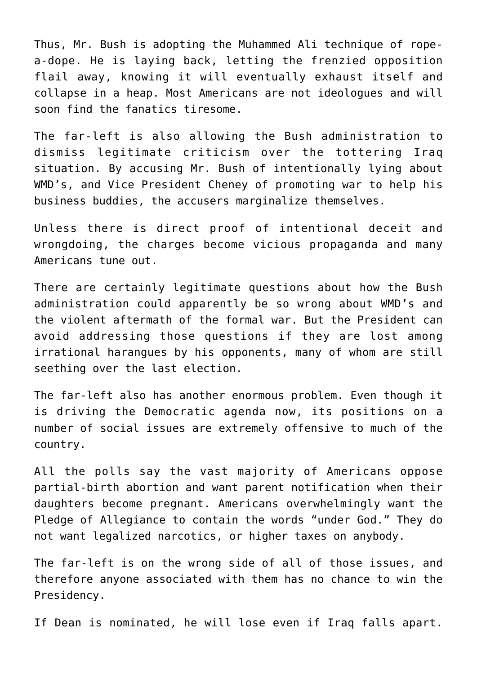Thus, Mr. Bush is adopting the Muhammed Ali technique of ropea-dope. He is laying back, letting the frenzied opposition flail away, knowing it will eventually exhaust itself and collapse in a heap. Most Americans are not ideologues and will soon find the fanatics tiresome.

The far-left is also allowing the Bush administration to dismiss legitimate criticism over the tottering Iraq situation. By accusing Mr. Bush of intentionally lying about WMD's, and Vice President Cheney of promoting war to help his business buddies, the accusers marginalize themselves.

Unless there is direct proof of intentional deceit and wrongdoing, the charges become vicious propaganda and many Americans tune out.

There are certainly legitimate questions about how the Bush administration could apparently be so wrong about WMD's and the violent aftermath of the formal war. But the President can avoid addressing those questions if they are lost among irrational harangues by his opponents, many of whom are still seething over the last election.

The far-left also has another enormous problem. Even though it is driving the Democratic agenda now, its positions on a number of social issues are extremely offensive to much of the country.

All the polls say the vast majority of Americans oppose partial-birth abortion and want parent notification when their daughters become pregnant. Americans overwhelmingly want the Pledge of Allegiance to contain the words "under God." They do not want legalized narcotics, or higher taxes on anybody.

The far-left is on the wrong side of all of those issues, and therefore anyone associated with them has no chance to win the Presidency.

If Dean is nominated, he will lose even if Iraq falls apart.